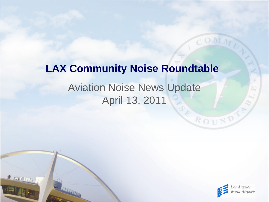## Aviation Noise News Update April 13, 2011 **LAX Community Noise Roundtable**

 $\frac{1}{2}$  running



ROUND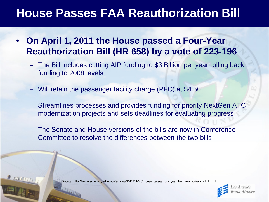### **House Passes FAA Reauthorization Bill**

- **On April 1, 2011 the House passed a Four-Year Reauthorization Bill (HR 658) by a vote of 223-196**
	- The Bill includes cutting AIP funding to \$3 Billion per year rolling back funding to 2008 levels
	- Will retain the passenger facility charge (PFC) at \$4.50
	- Streamlines processes and provides funding for priority NextGen ATC modernization projects and sets deadlines for evaluating progress
	- The Senate and House versions of the bills are now in Conference Committee to resolve the differences between the two bills

Source: http://www.aopa.org/advocacy/articles/2011/110401house\_passes\_four\_year\_faa\_reauthorization\_bill.html

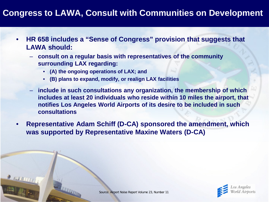#### **Congress to LAWA, Consult with Communities on Development**

- **HR 658 includes a "Sense of Congress" provision that suggests that LAWA should:**
	- **consult on a regular basis with representatives of the community surrounding LAX regarding:**
		- **(A) the ongoing operations of LAX; and**
		- **(B) plans to expand, modify, or realign LAX facilities**
	- **include in such consultations any organization, the membership of which includes at least 20 individuals who reside within 10 miles the airport, that notifies Los Angeles World Airports of its desire to be included in such consultations**
- **Representative Adam Schiff (D-CA) sponsored the amendment, which was supported by Representative Maxine Waters (D-CA)**

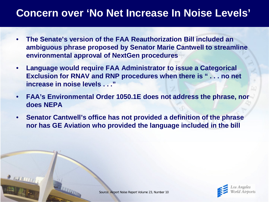#### **Concern over 'No Net Increase In Noise Levels'**

- **The Senate's version of the FAA Reauthorization Bill included an ambiguous phrase proposed by Senator Marie Cantwell to streamline environmental approval of NextGen procedures**
- **Language would require FAA Administrator to issue a Categorical Exclusion for RNAV and RNP procedures when there is " . . . no net increase in noise levels . . ."**
- **FAA's Environmental Order 1050.1E does not address the phrase, nor does NEPA**
- **Senator Cantwell's office has not provided a definition of the phrase nor has GE Aviation who provided the language included in the bill**

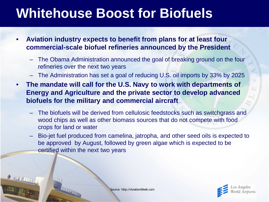## **Whitehouse Boost for Biofuels**

- **Aviation industry expects to benefit from plans for at least four commercial-scale biofuel refineries announced by the President**
	- The Obama Administration announced the goal of breaking ground on the four refineries over the next two years
	- The Administration has set a goal of reducing U.S. oil imports by 33% by 2025
- **The mandate will call for the U.S. Navy to work with departments of Energy and Agriculture and the private sector to develop advanced biofuels for the military and commercial aircraft**
	- The biofuels will be derived from cellulosic feedstocks such as switchgrass and wood chips as well as other biomass sources that do not compete with food crops for land or water
	- Bio-jet fuel produced from camelina, jatropha, and other seed oils is expected to be approved by August, followed by green algae which is expected to be certified within the next two years



Source: http://AviationWeek.com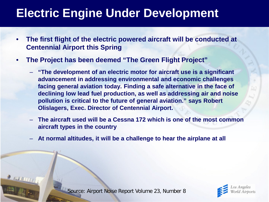### **Electric Engine Under Development**

- **The first flight of the electric powered aircraft will be conducted at Centennial Airport this Spring**
- **The Project has been deemed "The Green Flight Project"**
	- **"The development of an electric motor for aircraft use is a significant advancement in addressing environmental and economic challenges facing general aviation today. Finding a safe alternative in the face of declining low lead fuel production, as well as addressing air and noise pollution is critical to the future of general aviation." says Robert Olislagers, Exec. Director of Centennial Airport.**
	- **The aircraft used will be a Cessna 172 which is one of the most common aircraft types in the country**
	- **At normal altitudes, it will be a challenge to hear the airplane at all**

Source: Airport Noise Report Volume 23, Number 8

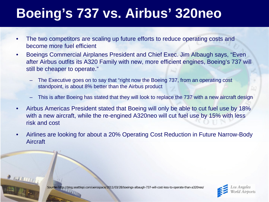# **Boeing's 737 vs. Airbus' 320neo**

- The two competitors are scaling up future efforts to reduce operating costs and become more fuel efficient
- Boeings Commercial Airplanes President and Chief Exec. Jim Albaugh says, "Even after Airbus outfits its A320 Family with new, more efficient engines, Boeing's 737 will still be cheaper to operate."
	- The Executive goes on to say that "right now the Boeing 737, from an operating cost standpoint, is about 8% better than the Airbus product
	- This is after Boeing has stated that they will look to replace the 737 with a new aircraft design
- Airbus Americas President stated that Boeing will only be able to cut fuel use by 18% with a new aircraft, while the re-engined A320neo will cut fuel use by 15% with less risk and cost
- Airlines are looking for about a 20% Operating Cost Reduction in Future Narrow-Body Aircraft

Source: http://blog.seattlepi.com/aerospace/2011/03/28/boeings-albaugh-737-will-cost-less-to-operate-than-a320neo/

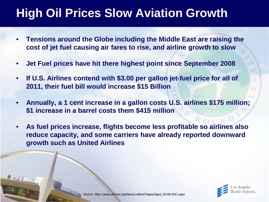### **High Oil Prices Slow Aviation Growth**

- **Tensions around the Globe including the Middle East are raising the cost of jet fuel causing air fares to rise, and airline growth to slow**
- **Jet Fuel prices have hit there highest point since September 2008**
- **If U.S. Airlines contend with \$3.00 per gallon jet-fuel price for all of 2011, their fuel bill would increase \$15 Billion**
- **Annually, a 1 cent increase in a gallon costs U.S. airlines \$175 million; \$1 increase in a barrel costs them \$415 million**
- **As fuel prices increase, flights become less profitable so airlines also reduce capacity, and some carriers have already reported downward growth such as United Airlines**

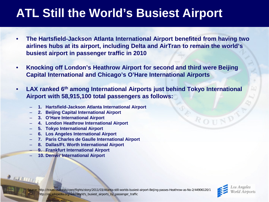### **ATL Still the World's Busiest Airport**

- **The Hartsfield-Jackson Atlanta International Airport benefited from having two airlines hubs at its airport, including Delta and AirTran to remain the world's busiest airport in passenger traffic in 2010**
- **Knocking off London's Heathrow Airport for second and third were Beijing Capital International and Chicago's O'Hare International Airports**
- **LAX ranked 6th among International Airports just behind Tokyo International Airport with 58,915,100 total passengers as follows:**
	- **1. Hartsfield-Jackson Atlanta International Airport**
	- **2. Beijing Capital International Airport**
	- **3. O'Hare International Airport**
	- **4. London Heathrow International Airport**
	- **5. Tokyo International Airport**
	- **6. Los Angeles International Airport**
	- **7. Paris Charles de Gaulle International Airport**
	- **8. Dallas/Ft. Worth International Airport**
	- **9. Frankfurt International Airport**
	- **10. Denver International Airport**

**NUMBER** 



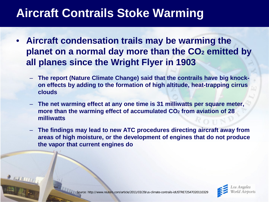### **Aircraft Contrails Stoke Warming**

- **Aircraft condensation trails may be warming the planet on a normal day more than the CO<sub>2</sub> emitted by all planes since the Wright Flyer in 1903**
	- **The report (Nature Climate Change) said that the contrails have big knockon effects by adding to the formation of high altitude, heat-trapping cirrus clouds**
	- **The net warming effect at any one time is 31 milliwatts per square meter, more than the warming effect of accumulated CO2 from aviation of 28 milliwatts**
	- **The findings may lead to new ATC procedures directing aircraft away from areas of high moisture, or the development of engines that do not produce the vapor that current engines do**